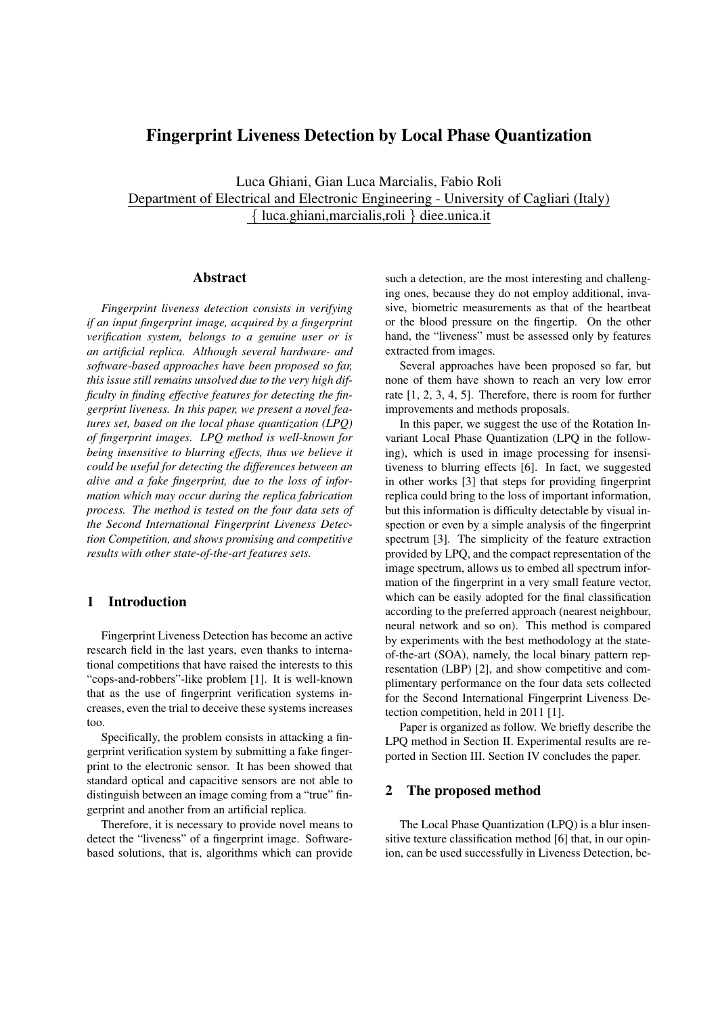# Fingerprint Liveness Detection by Local Phase Quantization

Luca Ghiani, Gian Luca Marcialis, Fabio Roli Department of Electrical and Electronic Engineering - University of Cagliari (Italy) *{* luca.ghiani,marcialis,roli *}* diee.unica.it

## Abstract

*Fingerprint liveness detection consists in verifying if an input fingerprint image, acquired by a fingerprint verification system, belongs to a genuine user or is an artificial replica. Although several hardware- and software-based approaches have been proposed so far, this issue still remains unsolved due to the very high difficulty in finding effective features for detecting the fingerprint liveness. In this paper, we present a novel features set, based on the local phase quantization (LPQ) of fingerprint images. LPQ method is well-known for being insensitive to blurring effects, thus we believe it could be useful for detecting the differences between an alive and a fake fingerprint, due to the loss of information which may occur during the replica fabrication process. The method is tested on the four data sets of the Second International Fingerprint Liveness Detection Competition, and shows promising and competitive results with other state-of-the-art features sets.*

## 1 Introduction

Fingerprint Liveness Detection has become an active research field in the last years, even thanks to international competitions that have raised the interests to this "cops-and-robbers"-like problem [1]. It is well-known that as the use of fingerprint verification systems increases, even the trial to deceive these systems increases too.

Specifically, the problem consists in attacking a fingerprint verification system by submitting a fake fingerprint to the electronic sensor. It has been showed that standard optical and capacitive sensors are not able to distinguish between an image coming from a "true" fingerprint and another from an artificial replica.

Therefore, it is necessary to provide novel means to detect the "liveness" of a fingerprint image. Softwarebased solutions, that is, algorithms which can provide

such a detection, are the most interesting and challenging ones, because they do not employ additional, invasive, biometric measurements as that of the heartbeat or the blood pressure on the fingertip. On the other hand, the "liveness" must be assessed only by features extracted from images.

Several approaches have been proposed so far, but none of them have shown to reach an very low error rate [1, 2, 3, 4, 5]. Therefore, there is room for further improvements and methods proposals.

In this paper, we suggest the use of the Rotation Invariant Local Phase Quantization (LPQ in the following), which is used in image processing for insensitiveness to blurring effects [6]. In fact, we suggested in other works [3] that steps for providing fingerprint replica could bring to the loss of important information, but this information is difficulty detectable by visual inspection or even by a simple analysis of the fingerprint spectrum [3]. The simplicity of the feature extraction provided by LPQ, and the compact representation of the image spectrum, allows us to embed all spectrum information of the fingerprint in a very small feature vector, which can be easily adopted for the final classification according to the preferred approach (nearest neighbour, neural network and so on). This method is compared by experiments with the best methodology at the stateof-the-art (SOA), namely, the local binary pattern representation (LBP) [2], and show competitive and complimentary performance on the four data sets collected for the Second International Fingerprint Liveness Detection competition, held in 2011 [1].

Paper is organized as follow. We briefly describe the LPQ method in Section II. Experimental results are reported in Section III. Section IV concludes the paper.

## 2 The proposed method

The Local Phase Quantization (LPQ) is a blur insensitive texture classification method [6] that, in our opinion, can be used successfully in Liveness Detection, be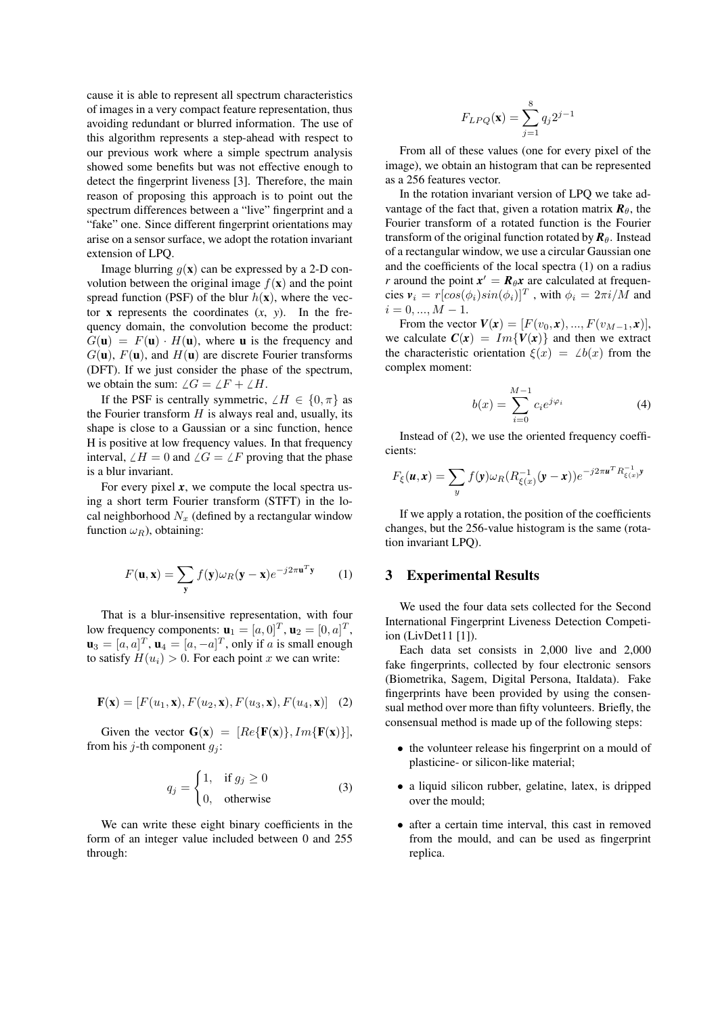cause it is able to represent all spectrum characteristics of images in a very compact feature representation, thus avoiding redundant or blurred information. The use of this algorithm represents a step-ahead with respect to our previous work where a simple spectrum analysis showed some benefits but was not effective enough to detect the fingerprint liveness [3]. Therefore, the main reason of proposing this approach is to point out the spectrum differences between a "live" fingerprint and a "fake" one. Since different fingerprint orientations may arise on a sensor surface, we adopt the rotation invariant extension of LPQ.

Image blurring  $q(x)$  can be expressed by a 2-D convolution between the original image  $f(\mathbf{x})$  and the point spread function (PSF) of the blur  $h(\mathbf{x})$ , where the vector  $\bf{x}$  represents the coordinates  $(x, y)$ . In the frequency domain, the convolution become the product:  $G(\mathbf{u}) = F(\mathbf{u}) \cdot H(\mathbf{u})$ , where **u** is the frequency and  $G(\mathbf{u})$ ,  $F(\mathbf{u})$ , and  $H(\mathbf{u})$  are discrete Fourier transforms (DFT). If we just consider the phase of the spectrum, we obtain the sum:  $\angle G = \angle F + \angle H$ .

If the PSF is centrally symmetric,  $\angle H \in \{0, \pi\}$  as the Fourier transform  $H$  is always real and, usually, its shape is close to a Gaussian or a sinc function, hence H is positive at low frequency values. In that frequency interval,  $\angle H = 0$  and  $\angle G = \angle F$  proving that the phase is a blur invariant.

For every pixel  $x$ , we compute the local spectra using a short term Fourier transform (STFT) in the local neighborhood  $N_x$  (defined by a rectangular window function  $\omega_R$ ), obtaining:

$$
F(\mathbf{u}, \mathbf{x}) = \sum_{\mathbf{y}} f(\mathbf{y}) \omega_R (\mathbf{y} - \mathbf{x}) e^{-j2\pi \mathbf{u}^T \mathbf{y}} \qquad (1)
$$

That is a blur-insensitive representation, with four low frequency components:  $\mathbf{u}_1 = [a, 0]^T$ ,  $\mathbf{u}_2 = [0, a]^T$ ,  $\mathbf{u}_3 = [a, a]^T$ ,  $\mathbf{u}_4 = [a, -a]^T$ , only if *a* is small enough to satisfy  $H(u_i) > 0$ . For each point *x* we can write:

$$
\mathbf{F}(\mathbf{x}) = [F(u_1, \mathbf{x}), F(u_2, \mathbf{x}), F(u_3, \mathbf{x}), F(u_4, \mathbf{x})] \quad (2)
$$

Given the vector  $G(x) = [Re{F(x)}, Im{F(x)}]$ , from his *j*-th component  $q_i$ :

$$
q_j = \begin{cases} 1, & \text{if } g_j \ge 0 \\ 0, & \text{otherwise} \end{cases}
$$
 (3)

We can write these eight binary coefficients in the form of an integer value included between 0 and 255 through:

$$
F_{LPQ}(\mathbf{x}) = \sum_{j=1}^{8} q_j 2^{j-1}
$$

From all of these values (one for every pixel of the image), we obtain an histogram that can be represented as a 256 features vector.

In the rotation invariant version of LPQ we take advantage of the fact that, given a rotation matrix  $\mathbf{R}_{\theta}$ , the Fourier transform of a rotated function is the Fourier transform of the original function rotated by  $\mathbf{R}_{\theta}$ . Instead of a rectangular window, we use a circular Gaussian one and the coefficients of the local spectra (1) on a radius *r* around the point  $x' = R_{\theta}x$  are calculated at frequen- ${\bf c}$ ies  ${\bf v}_i = r[cos(\phi_i)sin(\phi_i)]^T$ , with  $\phi_i = 2\pi i/M$  and  $i = 0, ..., M - 1.$ 

From the vector  $V(x) = [F(v_0, x), ..., F(v_{M-1}, x)],$ we calculate  $C(x) = Im{V(x)}$  and then we extract the characteristic orientation  $\xi(x) = \angle b(x)$  from the complex moment:

$$
b(x) = \sum_{i=0}^{M-1} c_i e^{j\varphi_i}
$$
 (4)

Instead of (2), we use the oriented frequency coefficients:

$$
F_{\xi}(\boldsymbol{u}, \boldsymbol{x}) = \sum_{y} f(\boldsymbol{y}) \omega_R (R_{\xi(x)}^{-1}(\boldsymbol{y} - \boldsymbol{x})) e^{-j2\pi \boldsymbol{u}^T R_{\xi(x)}^{-1} \boldsymbol{y}}
$$

If we apply a rotation, the position of the coefficients changes, but the 256-value histogram is the same (rotation invariant LPQ).

## 3 Experimental Results

We used the four data sets collected for the Second International Fingerprint Liveness Detection Competiion (LivDet11 [1]).

Each data set consists in 2,000 live and 2,000 fake fingerprints, collected by four electronic sensors (Biometrika, Sagem, Digital Persona, Italdata). Fake fingerprints have been provided by using the consensual method over more than fifty volunteers. Briefly, the consensual method is made up of the following steps:

- the volunteer release his fingerprint on a mould of plasticine- or silicon-like material;
- *•* a liquid silicon rubber, gelatine, latex, is dripped over the mould;
- after a certain time interval, this cast in removed from the mould, and can be used as fingerprint replica.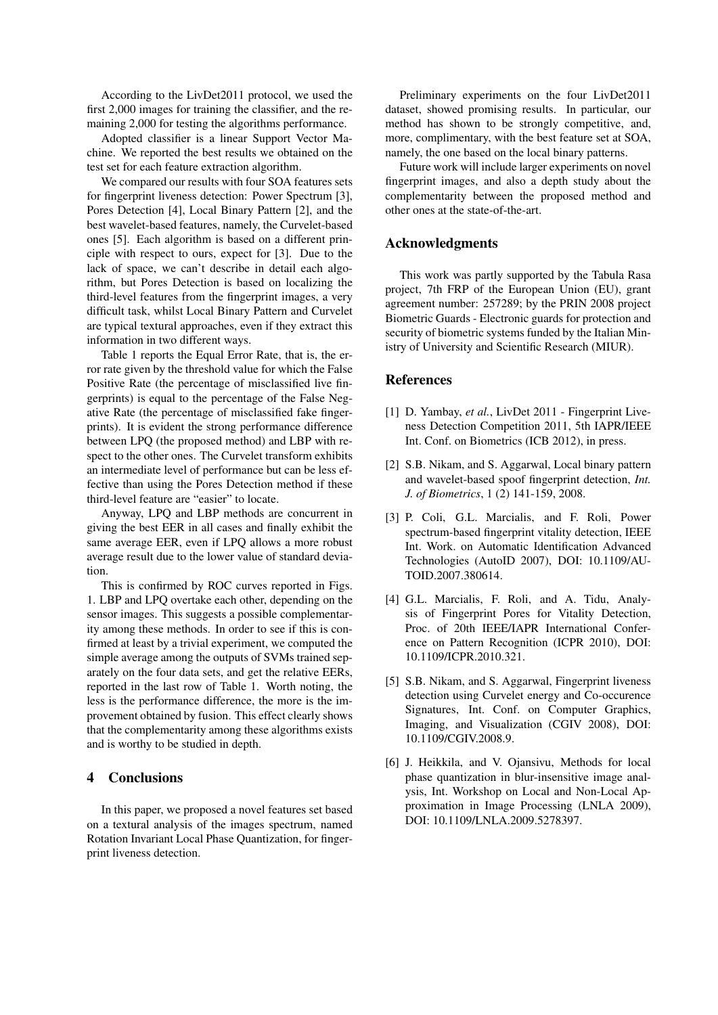According to the LivDet2011 protocol, we used the first 2,000 images for training the classifier, and the remaining 2,000 for testing the algorithms performance.

Adopted classifier is a linear Support Vector Machine. We reported the best results we obtained on the test set for each feature extraction algorithm.

We compared our results with four SOA features sets for fingerprint liveness detection: Power Spectrum [3], Pores Detection [4], Local Binary Pattern [2], and the best wavelet-based features, namely, the Curvelet-based ones [5]. Each algorithm is based on a different principle with respect to ours, expect for [3]. Due to the lack of space, we can't describe in detail each algorithm, but Pores Detection is based on localizing the third-level features from the fingerprint images, a very difficult task, whilst Local Binary Pattern and Curvelet are typical textural approaches, even if they extract this information in two different ways.

Table 1 reports the Equal Error Rate, that is, the error rate given by the threshold value for which the False Positive Rate (the percentage of misclassified live fingerprints) is equal to the percentage of the False Negative Rate (the percentage of misclassified fake fingerprints). It is evident the strong performance difference between LPQ (the proposed method) and LBP with respect to the other ones. The Curvelet transform exhibits an intermediate level of performance but can be less effective than using the Pores Detection method if these third-level feature are "easier" to locate.

Anyway, LPQ and LBP methods are concurrent in giving the best EER in all cases and finally exhibit the same average EER, even if LPQ allows a more robust average result due to the lower value of standard deviation.

This is confirmed by ROC curves reported in Figs. 1. LBP and LPQ overtake each other, depending on the sensor images. This suggests a possible complementarity among these methods. In order to see if this is confirmed at least by a trivial experiment, we computed the simple average among the outputs of SVMs trained separately on the four data sets, and get the relative EERs, reported in the last row of Table 1. Worth noting, the less is the performance difference, the more is the improvement obtained by fusion. This effect clearly shows that the complementarity among these algorithms exists and is worthy to be studied in depth.

## 4 Conclusions

In this paper, we proposed a novel features set based on a textural analysis of the images spectrum, named Rotation Invariant Local Phase Quantization, for fingerprint liveness detection.

Preliminary experiments on the four LivDet2011 dataset, showed promising results. In particular, our method has shown to be strongly competitive, and, more, complimentary, with the best feature set at SOA, namely, the one based on the local binary patterns.

Future work will include larger experiments on novel fingerprint images, and also a depth study about the complementarity between the proposed method and other ones at the state-of-the-art.

## Acknowledgments

This work was partly supported by the Tabula Rasa project, 7th FRP of the European Union (EU), grant agreement number: 257289; by the PRIN 2008 project Biometric Guards - Electronic guards for protection and security of biometric systems funded by the Italian Ministry of University and Scientific Research (MIUR).

## References

- [1] D. Yambay, *et al.*, LivDet 2011 Fingerprint Liveness Detection Competition 2011, 5th IAPR/IEEE Int. Conf. on Biometrics (ICB 2012), in press.
- [2] S.B. Nikam, and S. Aggarwal, Local binary pattern and wavelet-based spoof fingerprint detection, *Int. J. of Biometrics*, 1 (2) 141-159, 2008.
- [3] P. Coli, G.L. Marcialis, and F. Roli, Power spectrum-based fingerprint vitality detection, IEEE Int. Work. on Automatic Identification Advanced Technologies (AutoID 2007), DOI: 10.1109/AU-TOID.2007.380614.
- [4] G.L. Marcialis, F. Roli, and A. Tidu, Analysis of Fingerprint Pores for Vitality Detection, Proc. of 20th IEEE/IAPR International Conference on Pattern Recognition (ICPR 2010), DOI: 10.1109/ICPR.2010.321.
- [5] S.B. Nikam, and S. Aggarwal, Fingerprint liveness detection using Curvelet energy and Co-occurence Signatures, Int. Conf. on Computer Graphics, Imaging, and Visualization (CGIV 2008), DOI: 10.1109/CGIV.2008.9.
- [6] J. Heikkila, and V. Ojansivu, Methods for local phase quantization in blur-insensitive image analysis, Int. Workshop on Local and Non-Local Approximation in Image Processing (LNLA 2009), DOI: 10.1109/LNLA.2009.5278397.